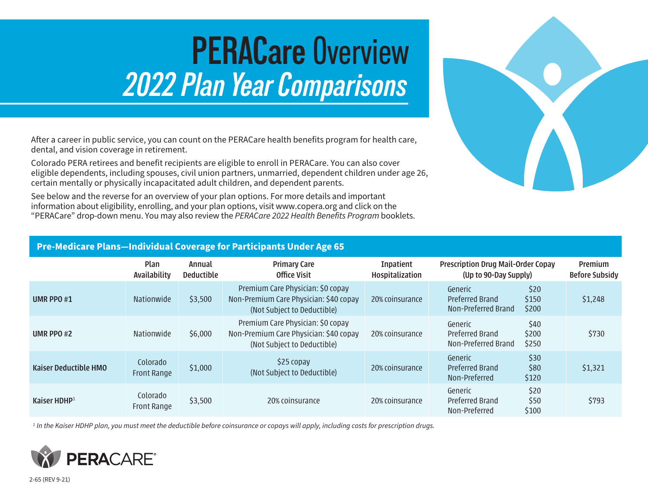# **PERACare** Overview *2022 Plan Year Comparisons*

After a career in public service, you can count on the PERACare health benefits program for health care, dental, and vision coverage in retirement.

Colorado PERA retirees and benefit recipients are eligible to enroll in PERACare. You can also cover eligible dependents, including spouses, civil union partners, unmarried, dependent children under age 26, certain mentally or physically incapacitated adult children, and dependent parents.

See below and the reverse for an overview of your plan options. For more details and important information about eligibility, enrolling, and your plan options, visit www.copera.org and click on the "PERACare" drop-down menu. You may also review the *PERACare 2022 Health Benefits Program* booklets.



## **Pre-Medicare Plans—Individual Coverage for Participants Under Age 65**

|                              | Plan<br>Availability           | Annual<br><b>Deductible</b> | <b>Primary Care</b><br>Office Visit                                                                        | <b>Inpatient</b><br>Hospitalization | <b>Prescription Drug Mail-Order Copay</b><br>(Up to 90-Day Supply) |                        | Premium<br><b>Before Subsidy</b> |
|------------------------------|--------------------------------|-----------------------------|------------------------------------------------------------------------------------------------------------|-------------------------------------|--------------------------------------------------------------------|------------------------|----------------------------------|
| UMR PPO#1                    | <b>Nationwide</b>              | \$3,500                     | Premium Care Physician: \$0 copay<br>Non-Premium Care Physician: \$40 copay<br>(Not Subject to Deductible) | 20% coinsurance                     | Generic<br><b>Preferred Brand</b><br>Non-Preferred Brand           | \$20<br>\$150<br>\$200 | \$1,248                          |
| <b>UMR PPO#2</b>             | <b>Nationwide</b>              | \$6,000                     | Premium Care Physician: \$0 copay<br>Non-Premium Care Physician: \$40 copay<br>(Not Subject to Deductible) | 20% coinsurance                     | Generic<br><b>Preferred Brand</b><br>Non-Preferred Brand           | \$40<br>\$200<br>\$250 | \$730                            |
| <b>Kaiser Deductible HMO</b> | Colorado<br><b>Front Range</b> | \$1,000                     | \$25 copay<br>(Not Subject to Deductible)                                                                  | 20% coinsurance                     | Generic<br><b>Preferred Brand</b><br>Non-Preferred                 | \$30<br>\$80<br>\$120  | \$1,321                          |
| Kaiser HDHP $1$              | Colorado<br>Front Range        | \$3,500                     | 20% coinsurance                                                                                            | 20% coinsurance                     | Generic<br>Preferred Brand<br>Non-Preferred                        | \$20<br>\$50<br>\$100  | \$793                            |

*<sup>1</sup> In the Kaiser HDHP plan, you must meet the deductible before coinsurance or copays will apply, including costs for prescription drugs.*